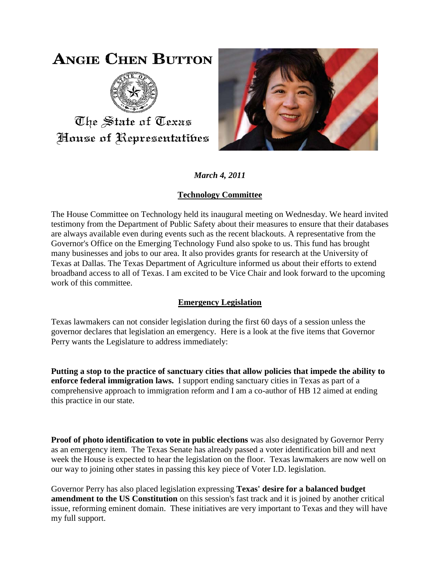# **ANGIE CHEN BUTTON**



The State of Texas House of Representatibes



*March 4, 2011*

## **Technology Committee**

The House Committee on Technology held its inaugural meeting on Wednesday. We heard invited testimony from the Department of Public Safety about their measures to ensure that their databases are always available even during events such as the recent blackouts. A representative from the Governor's Office on the Emerging Technology Fund also spoke to us. This fund has brought many businesses and jobs to our area. It also provides grants for research at the University of Texas at Dallas. The Texas Department of Agriculture informed us about their efforts to extend broadband access to all of Texas. I am excited to be Vice Chair and look forward to the upcoming work of this committee.

## **Emergency Legislation**

Texas lawmakers can not consider legislation during the first 60 days of a session unless the governor declares that legislation an emergency. Here is a look at the five items that Governor Perry wants the Legislature to address immediately:

**Putting a stop to the practice of sanctuary cities that allow policies that impede the ability to enforce federal immigration laws.** I support ending sanctuary cities in Texas as part of a comprehensive approach to immigration reform and I am a co-author of HB 12 aimed at ending this practice in our state.

**Proof of photo identification to vote in public elections** was also designated by Governor Perry as an emergency item. The Texas Senate has already passed a voter identification bill and next week the House is expected to hear the legislation on the floor. Texas lawmakers are now well on our way to joining other states in passing this key piece of Voter I.D. legislation.

Governor Perry has also placed legislation expressing **Texas' desire for a balanced budget amendment to the US Constitution** on this session's fast track and it is joined by another critical issue, reforming eminent domain. These initiatives are very important to Texas and they will have my full support.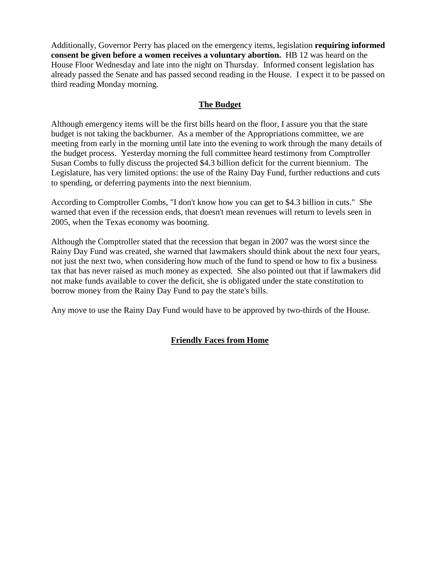Additionally, Governor Perry has placed on the emergency items, legislation **requiring informed consent be given before a women receives a voluntary abortion.** HB 12 was heard on the House Floor Wednesday and late into the night on Thursday. Informed consent legislation has already passed the Senate and has passed second reading in the House. I expect it to be passed on third reading Monday morning.

### **The Budget**

Although emergency items will be the first bills heard on the floor, I assure you that the state budget is not taking the backburner. As a member of the Appropriations committee, we are meeting from early in the morning until late into the evening to work through the many details of the budget process. Yesterday morning the full committee heard testimony from Comptroller Susan Combs to fully discuss the projected \$4.3 billion deficit for the current biennium. The Legislature, has very limited options: the use of the Rainy Day Fund, further reductions and cuts to spending, or deferring payments into the next biennium.

According to Comptroller Combs, "I don't know how you can get to \$4.3 billion in cuts." She warned that even if the recession ends, that doesn't mean revenues will return to levels seen in 2005, when the Texas economy was booming.

Although the Comptroller stated that the recession that began in 2007 was the worst since the Rainy Day Fund was created, she warned that lawmakers should think about the next four years, not just the next two, when considering how much of the fund to spend or how to fix a business tax that has never raised as much money as expected. She also pointed out that if lawmakers did not make funds available to cover the deficit, she is obligated under the state constitution to borrow money from the Rainy Day Fund to pay the state's bills.

Any move to use the Rainy Day Fund would have to be approved by two-thirds of the House.

#### **Friendly Faces from Home**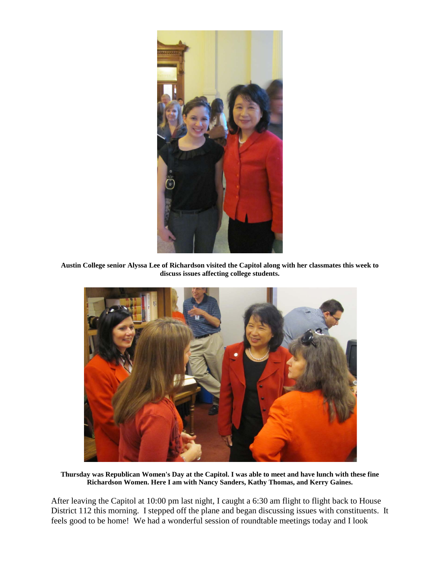

**Austin College senior Alyssa Lee of Richardson visited the Capitol along with her classmates this week to discuss issues affecting college students.**



**Thursday was Republican Women's Day at the Capitol. I was able to meet and have lunch with these fine Richardson Women. Here I am with Nancy Sanders, Kathy Thomas, and Kerry Gaines.**

After leaving the Capitol at 10:00 pm last night, I caught a 6:30 am flight to flight back to House District 112 this morning. I stepped off the plane and began discussing issues with constituents. It feels good to be home! We had a wonderful session of roundtable meetings today and I look